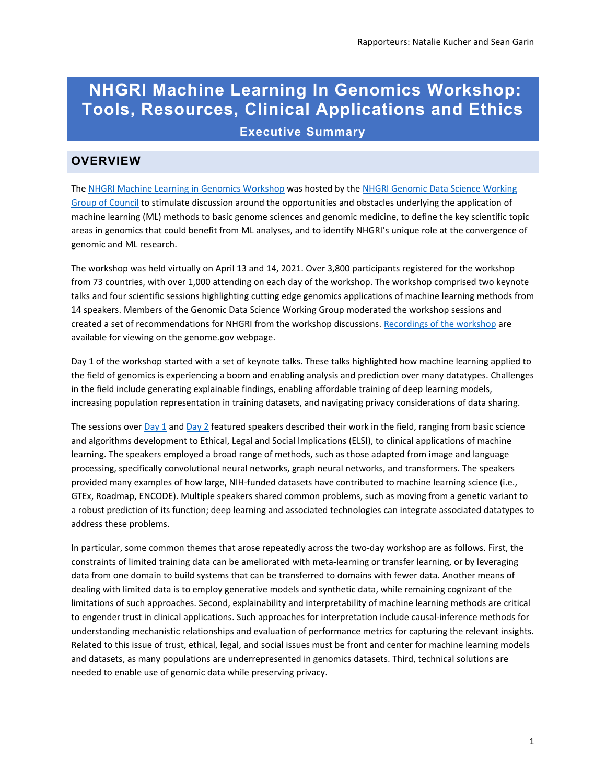# **NHGRI Machine Learning In Genomics Workshop: Tools, Resources, Clinical Applications and Ethics Executive Summary**

# **OVERVIEW**

Th[e NHGRI Machine Learning in Genomics Workshop](https://www.genome.gov/event-calendar/Machine-Learning-in-Genomics-Tools-Resources-Clinical-Applications-and-Ethics) was hosted by th[e NHGRI Genomic Data Science Working](https://www.genome.gov/about-nhgri/National-Advisory-Council-for-Human-Genome-Research/Genomic-Data-Science-Working-Group)  [Group of Council](https://www.genome.gov/about-nhgri/National-Advisory-Council-for-Human-Genome-Research/Genomic-Data-Science-Working-Group) to stimulate discussion around the opportunities and obstacles underlying the application of machine learning (ML) methods to basic genome sciences and genomic medicine, to define the key scientific topic areas in genomics that could benefit from ML analyses, and to identify NHGRI's unique role at the convergence of genomic and ML research.

The workshop was held virtually on April 13 and 14, 2021. Over 3,800 participants registered for the workshop from 73 countries, with over 1,000 attending on each day of the workshop. The workshop comprised two keynote talks and four scientific sessions highlighting cutting edge genomics applications of machine learning methods from 14 speakers. Members of the Genomic Data Science Working Group moderated the workshop sessions and created a set of recommendations for NHGRI from the workshop discussions. [Recordings of the workshop](https://www.youtube.com/playlist?list=PL1ay9ko4A8slpiTxI_mmmRGxG5_JPhhEW) are available for viewing on the genome.gov webpage.

Day 1 of the workshop started with a set of keynote talks. These talks highlighted how machine learning applied to the field of genomics is experiencing a boom and enabling analysis and prediction over many datatypes. Challenges in the field include generating explainable findings, enabling affordable training of deep learning models, increasing population representation in training datasets, and navigating privacy considerations of data sharing.

The sessions ove[r Day 1](https://www.genome.gov/event-calendar/Machine-Learning-in-Genomics-Tools-Resources-Clinical-Applications-and-Ethics#day1) an[d Day 2](https://www.genome.gov/event-calendar/Machine-Learning-in-Genomics-Tools-Resources-Clinical-Applications-and-Ethics#day2) featured speakers described their work in the field, ranging from basic science and algorithms development to Ethical, Legal and Social Implications (ELSI), to clinical applications of machine learning. The speakers employed a broad range of methods, such as those adapted from image and language processing, specifically convolutional neural networks, graph neural networks, and transformers. The speakers provided many examples of how large, NIH-funded datasets have contributed to machine learning science (i.e., GTEx, Roadmap, ENCODE). Multiple speakers shared common problems, such as moving from a genetic variant to a robust prediction of its function; deep learning and associated technologies can integrate associated datatypes to address these problems.

In particular, some common themes that arose repeatedly across the two-day workshop are as follows. First, the constraints of limited training data can be ameliorated with meta-learning or transfer learning, or by leveraging data from one domain to build systems that can be transferred to domains with fewer data. Another means of dealing with limited data is to employ generative models and synthetic data, while remaining cognizant of the limitations of such approaches. Second, explainability and interpretability of machine learning methods are critical to engender trust in clinical applications. Such approaches for interpretation include causal-inference methods for understanding mechanistic relationships and evaluation of performance metrics for capturing the relevant insights. Related to this issue of trust, ethical, legal, and social issues must be front and center for machine learning models and datasets, as many populations are underrepresented in genomics datasets. Third, technical solutions are needed to enable use of genomic data while preserving privacy.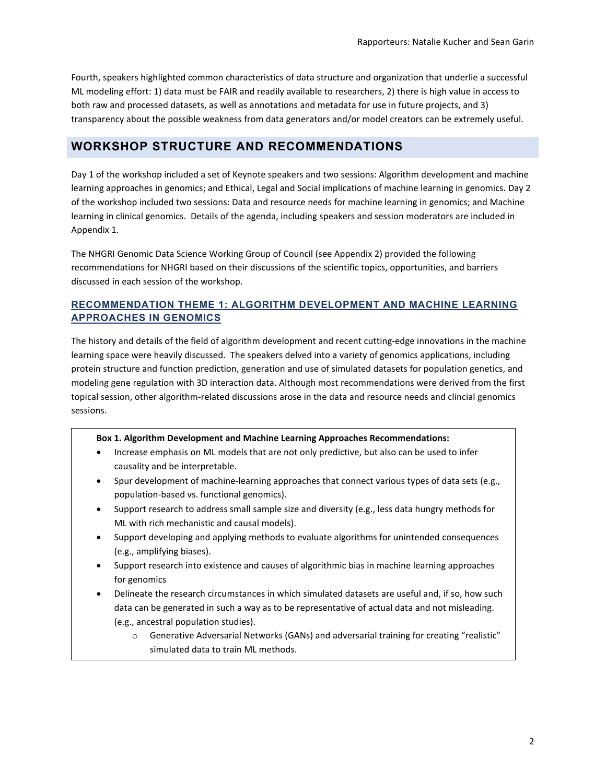Fourth, speakers highlighted common characteristics of data structure and organization that underlie a successful ML modeling effort: 1) data must be FAIR and readily available to researchers, 2) there is high value in access to both raw and processed datasets, as well as annotations and metadata for use in future projects, and 3) transparency about the possible weakness from data generators and/or model creators can be extremely useful.

# **WORKSHOP STRUCTURE AND RECOMMENDATIONS**

Day 1 of the workshop included a set of Keynote speakers and two sessions: Algorithm development and machine learning approaches in genomics; and Ethical, Legal and Social implications of machine learning in genomics. Day 2 of the workshop included two sessions: Data and resource needs for machine learning in genomics; and Machine learning in clinical genomics. Details of the agenda, including speakers and session moderators are included in Appendix 1.

The NHGRI Genomic Data Science Working Group of Council (see Appendix 2) provided the following recommendations for NHGRI based on their discussions of the scientific topics, opportunities, and barriers discussed in each session of the workshop.

### **RECOMMENDATION THEME 1: ALGORITHM DEVELOPMENT AND MACHINE LEARNING APPROACHES IN GENOMICS**

The history and details of the field of algorithm development and recent cutting-edge innovations in the machine learning space were heavily discussed. The speakers delved into a variety of genomics applications, including protein structure and function prediction, generation and use of simulated datasets for population genetics, and modeling gene regulation with 3D interaction data. Although most recommendations were derived from the first topical session, other algorithm-related discussions arose in the data and resource needs and clincial genomics sessions.

#### **Box 1. Algorithm Development and Machine Learning Approaches Recommendations:**

- Increase emphasis on ML models that are not only predictive, but also can be used to infer causality and be interpretable.
- Spur development of machine-learning approaches that connect various types of data sets (e.g., population-based vs. functional genomics).
- Support research to address small sample size and diversity (e.g., less data hungry methods for ML with rich mechanistic and causal models).
- Support developing and applying methods to evaluate algorithms for unintended consequences (e.g., amplifying biases).
- Support research into existence and causes of algorithmic bias in machine learning approaches for genomics
- Delineate the research circumstances in which simulated datasets are useful and, if so, how such data can be generated in such a way as to be representative of actual data and not misleading. (e.g., ancestral population studies).
	- o Generative Adversarial Networks (GANs) and adversarial training for creating "realistic" simulated data to train ML methods.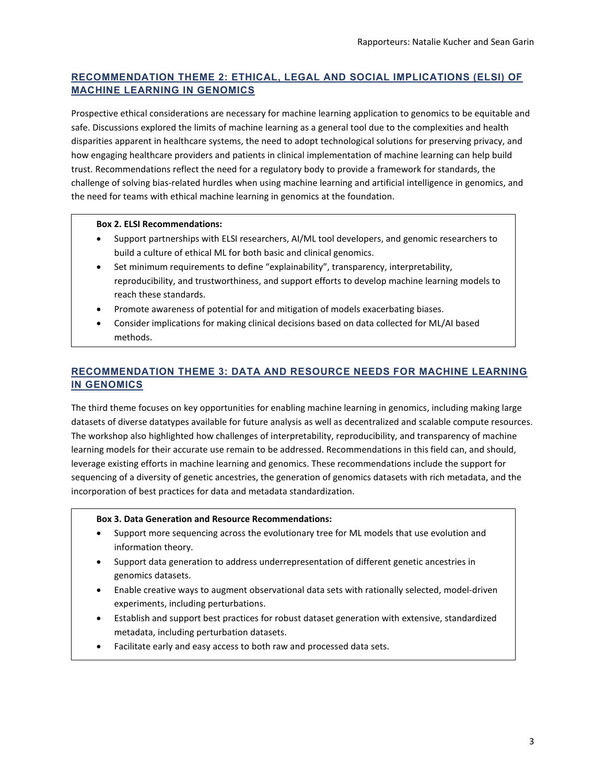# **RECOMMENDATION THEME 2: ETHICAL, LEGAL AND SOCIAL IMPLICATIONS (ELSI) OF MACHINE LEARNING IN GENOMICS**

Prospective ethical considerations are necessary for machine learning application to genomics to be equitable and safe. Discussions explored the limits of machine learning as a general tool due to the complexities and health disparities apparent in healthcare systems, the need to adopt technological solutions for preserving privacy, and how engaging healthcare providers and patients in clinical implementation of machine learning can help build trust. Recommendations reflect the need for a regulatory body to provide a framework for standards, the challenge of solving bias-related hurdles when using machine learning and artificial intelligence in genomics, and the need for teams with ethical machine learning in genomics at the foundation.

#### **Box 2. ELSI Recommendations:**

- Support partnerships with ELSI researchers, AI/ML tool developers, and genomic researchers to build a culture of ethical ML for both basic and clinical genomics.
- Set minimum requirements to define "explainability", transparency, interpretability, reproducibility, and trustworthiness, and support efforts to develop machine learning models to reach these standards.
- Promote awareness of potential for and mitigation of models exacerbating biases.
- Consider implications for making clinical decisions based on data collected for ML/AI based methods.

# **RECOMMENDATION THEME 3: DATA AND RESOURCE NEEDS FOR MACHINE LEARNING IN GENOMICS**

The third theme focuses on key opportunities for enabling machine learning in genomics, including making large datasets of diverse datatypes available for future analysis as well as decentralized and scalable compute resources. The workshop also highlighted how challenges of interpretability, reproducibility, and transparency of machine learning models for their accurate use remain to be addressed. Recommendations in this field can, and should, leverage existing efforts in machine learning and genomics. These recommendations include the support for sequencing of a diversity of genetic ancestries, the generation of genomics datasets with rich metadata, and the incorporation of best practices for data and metadata standardization.

#### **Box 3. Data Generation and Resource Recommendations:**

- Support more sequencing across the evolutionary tree for ML models that use evolution and information theory.
- Support data generation to address underrepresentation of different genetic ancestries in genomics datasets.
- Enable creative ways to augment observational data sets with rationally selected, model-driven experiments, including perturbations.
- Establish and support best practices for robust dataset generation with extensive, standardized metadata, including perturbation datasets.
- Facilitate early and easy access to both raw and processed data sets.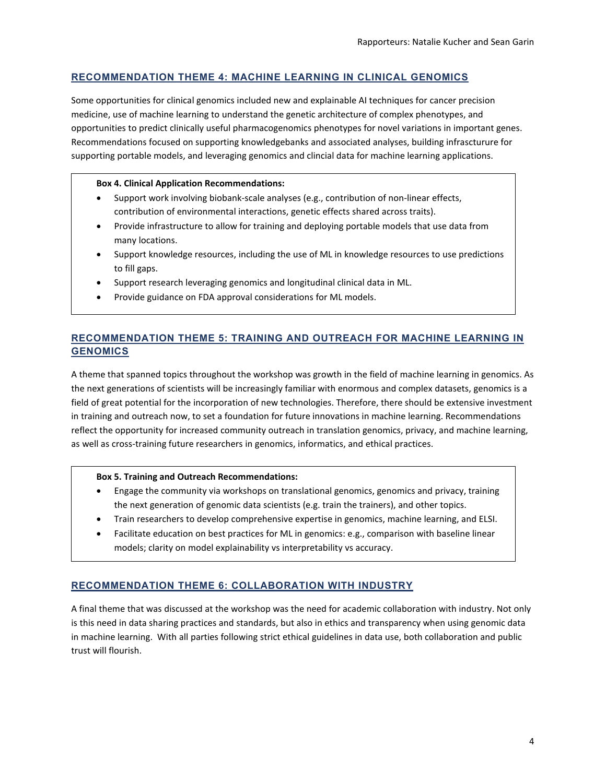### **RECOMMENDATION THEME 4: MACHINE LEARNING IN CLINICAL GENOMICS**

Some opportunities for clinical genomics included new and explainable AI techniques for cancer precision medicine, use of machine learning to understand the genetic architecture of complex phenotypes, and opportunities to predict clinically useful pharmacogenomics phenotypes for novel variations in important genes. Recommendations focused on supporting knowledgebanks and associated analyses, building infrascturure for supporting portable models, and leveraging genomics and clincial data for machine learning applications.

#### **Box 4. Clinical Application Recommendations:**

- Support work involving biobank-scale analyses (e.g., contribution of non-linear effects, contribution of environmental interactions, genetic effects shared across traits).
- Provide infrastructure to allow for training and deploying portable models that use data from many locations.
- Support knowledge resources, including the use of ML in knowledge resources to use predictions to fill gaps.
- Support research leveraging genomics and longitudinal clinical data in ML.
- Provide guidance on FDA approval considerations for ML models.

### **RECOMMENDATION THEME 5: TRAINING AND OUTREACH FOR MACHINE LEARNING IN GENOMICS**

A theme that spanned topics throughout the workshop was growth in the field of machine learning in genomics. As the next generations of scientists will be increasingly familiar with enormous and complex datasets, genomics is a field of great potential for the incorporation of new technologies. Therefore, there should be extensive investment in training and outreach now, to set a foundation for future innovations in machine learning. Recommendations reflect the opportunity for increased community outreach in translation genomics, privacy, and machine learning, as well as cross-training future researchers in genomics, informatics, and ethical practices.

#### **Box 5. Training and Outreach Recommendations:**

- Engage the community via workshops on translational genomics, genomics and privacy, training the next generation of genomic data scientists (e.g. train the trainers), and other topics.
- Train researchers to develop comprehensive expertise in genomics, machine learning, and ELSI.
- Facilitate education on best practices for ML in genomics: e.g., comparison with baseline linear models; clarity on model explainability vs interpretability vs accuracy.

### **RECOMMENDATION THEME 6: COLLABORATION WITH INDUSTRY**

A final theme that was discussed at the workshop was the need for academic collaboration with industry. Not only is this need in data sharing practices and standards, but also in ethics and transparency when using genomic data in machine learning. With all parties following strict ethical guidelines in data use, both collaboration and public trust will flourish.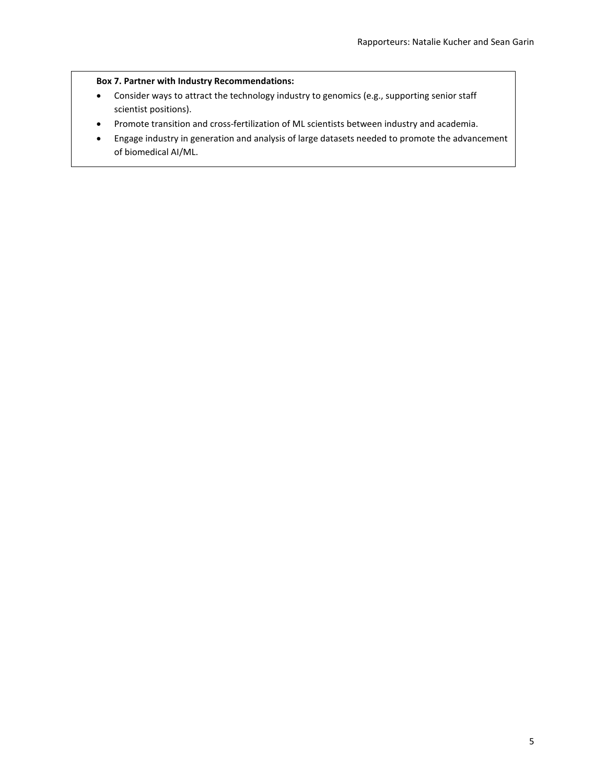### **Box 7. Partner with Industry Recommendations:**

- Consider ways to attract the technology industry to genomics (e.g., supporting senior staff scientist positions).
- Promote transition and cross-fertilization of ML scientists between industry and academia.
- Engage industry in generation and analysis of large datasets needed to promote the advancement of biomedical AI/ML.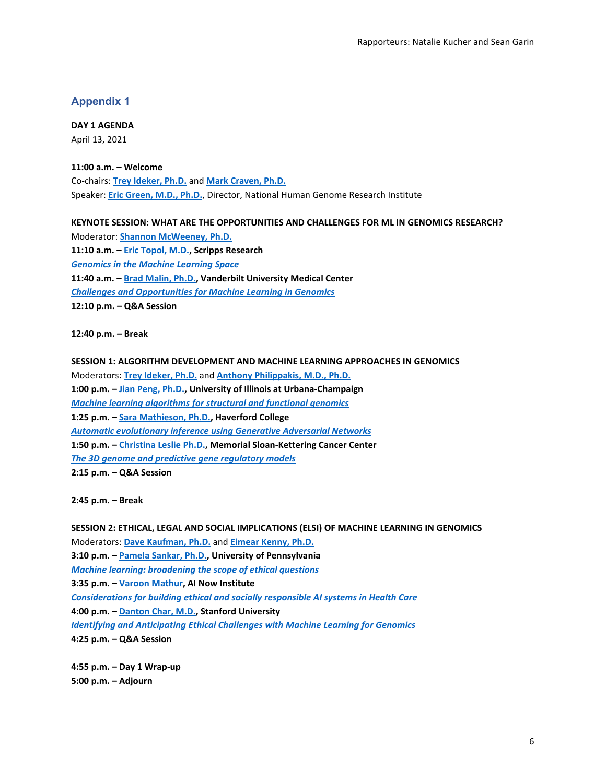#### **Appendix 1**

**DAY 1 AGENDA** April 13, 2021

**11:00 a.m. – Welcome** Co-chairs: **[Trey Ideker, Ph.D.](https://idekerlab.ucsd.edu/)** and **[Mark Craven, Ph.D.](https://biostat.wisc.edu/%7Ecraven/)** Speaker: **[Eric Green, M.D., Ph.D.](https://www.genome.gov/staff/Eric-D-Green-MD-PhD)**, Director, National Human Genome Research Institute

**KEYNOTE SESSION: WHAT ARE THE OPPORTUNITIES AND CHALLENGES FOR ML IN GENOMICS RESEARCH?**

Moderator: **[Shannon McWeeney, Ph.D.](https://www.ohsu.edu/people/shannon-mcweeney-phd) 11:10 a.m. – [Eric Topol, M.D.,](https://www.scripps.edu/faculty/topol/) Scripps Research** *[Genomics in the Machine Learning Space](https://www.genome.gov/sites/default/files/media/files/2021-04/TOPOL_NHGRI_Presentation1.pdf)* **11:40 a.m. – Brad [Malin, Ph.D.,](https://www.vumc.org/dbmi/person/bradley-malin-phd) Vanderbilt University Medical Center** *[Challenges and Opportunities for Machine Learning in Genomics](https://www.genome.gov/sites/default/files/media/files/2021-04/Malin_Genomic_Challenges_v2.pdf)* **12:10 p.m. – Q&A Session**

**12:40 p.m. – Break**

**SESSION 1: ALGORITHM DEVELOPMENT AND MACHINE LEARNING APPROACHES IN GENOMICS** Moderators: **[Trey Ideker, Ph.D.](https://idekerlab.ucsd.edu/)** and **[Anthony Philippakis, M.D., Ph.D.](https://www.broadinstitute.org/bios/anthony-philippakis-0) 1:00 p.m. – [Jian Peng, Ph.D.,](http://jianpeng.web.engr.illinois.edu/) University of Illinois at Urbana-Champaign** *[Machine learning algorithms for structural and functional genomics](https://www.genome.gov/sites/default/files/media/files/2021-04/MLGW_Peng.pdf)* **1:25 p.m. – [Sara Mathieson, Ph.D.,](https://smathieson.sites.haverford.edu/) Haverford College** *[Automatic evolutionary inference using Generative Adversarial Networks](https://www.genome.gov/sites/default/files/media/files/2021-04/Mathieson_NIH_talk.pdf)* **1:50 p.m. – [Christina Leslie Ph.D.,](http://cbio.mskcc.org/leslielab/) Memorial Sloan-Kettering Cancer Center** *[The 3D genome and predictive gene regulatory models](https://www.genome.gov/sites/default/files/media/files/2021-04/Leslie_nhgri-ml-workshop-mar2021_0.pdf)* **2:15 p.m. – Q&A Session**

**2:45 p.m. – Break**

**SESSION 2: ETHICAL, LEGAL AND SOCIAL IMPLICATIONS (ELSI) OF MACHINE LEARNING IN GENOMICS** Moderators: **[Dave Kaufman, Ph.D.](https://www.genome.gov/staff/David-Kaufman-PhD)** and **[Eimear Kenny, Ph.D.](https://icahn.mssm.edu/profiles/eimear-kenny) 3:10 p.m. – [Pamela Sankar, Ph.D.,](https://medicalethicshealthpolicy.med.upenn.edu/faculty-all/pamela-sankar) University of Pennsylvania** *[Machine learning: broadening the scope of ethical questions](https://www.genome.gov/sites/default/files/media/files/2021-04/Sankar_NHGRI.pdf)* **3:35 p.m. – [Varoon Mathur,](https://www.law.nyu.edu/centers/engelberg/team/mathur) AI Now Institute** *[Considerations for building ethical and socially responsible AI systems in Health Care](https://www.genome.gov/sites/default/files/media/files/2021-04/VaroonMathur-NHGRI_Machine_Learning_2021.pdf)* **4:00 p.m. – [Danton Char, M.D.,](https://profiles.stanford.edu/danton-char) Stanford University** *[Identifying and Anticipating Ethical Challenges with Machine Learning for Genomics](https://www.genome.gov/sites/default/files/media/files/2021-04/Danton_Char_ML.pdf)* **4:25 p.m. – Q&A Session**

**4:55 p.m. – Day 1 Wrap-up 5:00 p.m. – Adjourn**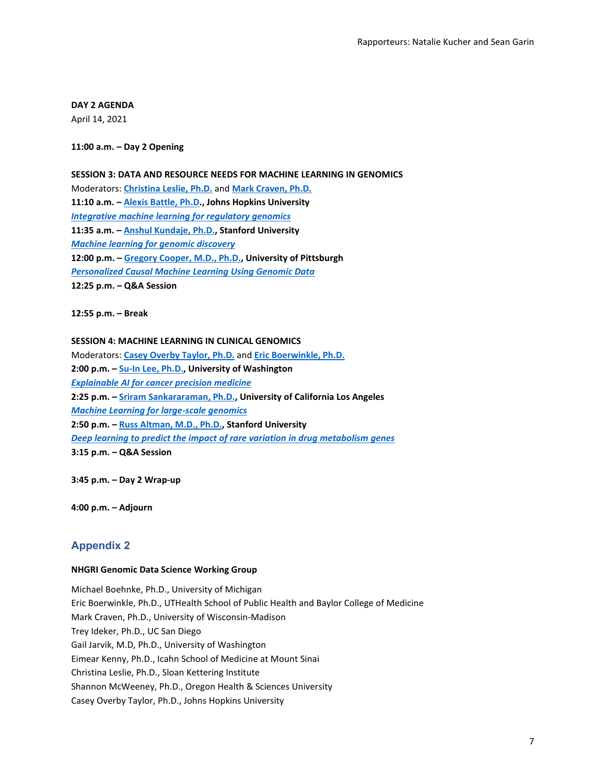**DAY 2 AGENDA** April 14, 2021

**11:00 a.m. – Day 2 Opening**

#### **SESSION 3: DATA AND RESOURCE NEEDS FOR MACHINE LEARNING IN GENOMICS**

Moderators: **[Christina Leslie, Ph.D.](https://www.mskcc.org/research/ski/labs/christina-leslie)** and **[Mark Craven, Ph.D.](https://biostat.wisc.edu/%7Ecraven/) 11:10 a.m. – [Alexis Battle, Ph.D.](https://www.bme.jhu.edu/people/faculty/alexis-battle/), Johns Hopkins University** *[Integrative machine learning for regulatory genomics](https://www.genome.gov/sites/default/files/media/files/2021-04/NHGRI_Battle_2021.pdf)* **11:35 a.m. – [Anshul Kundaje, Ph.D.,](https://profiles.stanford.edu/anshul-kundaje) Stanford University** *[Machine learning for genomic discovery](https://www.genome.gov/sites/default/files/media/files/2021-04/2021-Kundaje-NHGRI-ML4Genomics.pdf)* **12:00 p.m. – [Gregory Cooper, M.D., Ph.D.,](https://www.dbmi.pitt.edu/person/gregory-cooper-md-phd) University of Pittsburgh** *[Personalized Causal Machine Learning Using Genomic Data](https://www.genome.gov/sites/default/files/media/files/2021-04/NHGRI_GCooper_ML.pdf)* **12:25 p.m. – Q&A Session**

**12:55 p.m. – Break**

#### **SESSION 4: MACHINE LEARNING IN CLINICAL GENOMICS**

Moderators: **[Casey Overby Taylor, Ph.D.](https://www.hopkinsmedicine.org/profiles/results/directory/profile/10003217/casey-taylor)** and **[Eric Boerwinkle, Ph.D.](https://www.uth.edu/imm/faculty/profile?id=14b8ba3c-fd00-4044-a356-a896270d85e5) 2:00 p.m. – [Su-In Lee, Ph.D.,](https://suinlee.cs.washington.edu/su-in-lee) University of Washington** *[Explainable AI for cancer precision medicine](https://www.genome.gov/sites/default/files/media/files/2021-04/ML-for-ClinicalGenomics-Lee-shared.pdf)* **2:25 p.m. – [Sriram Sankararaman, Ph.D.,](http://web.cs.ucla.edu/%7Esriram/) University of California Los Angeles** *[Machine Learning for large-scale genomics](https://www.genome.gov/sites/default/files/media/files/2021-04/NHGRI_Sankararaman-ML.pdf)* **2:50 p.m. – [Russ Altman, M.D., Ph.D.,](https://bioengineering.stanford.edu/person/russ-altman) Stanford University** *[Deep learning to predict the impact of rare variation in drug metabolism genes](https://www.genome.gov/sites/default/files/media/files/2021-04/nhgri-altman.pdf)* **3:15 p.m. – Q&A Session**

**3:45 p.m. – Day 2 Wrap-up**

**4:00 p.m. – Adjourn**

### **Appendix 2**

#### **NHGRI Genomic Data Science Working Group**

Michael Boehnke, Ph.D., University of Michigan Eric Boerwinkle, Ph.D., UTHealth School of Public Health and Baylor College of Medicine Mark Craven, Ph.D., University of Wisconsin-Madison Trey Ideker, Ph.D., UC San Diego Gail Jarvik, M.D, Ph.D., University of Washington Eimear Kenny, Ph.D., Icahn School of Medicine at Mount Sinai Christina Leslie, Ph.D., Sloan Kettering Institute Shannon McWeeney, Ph.D., Oregon Health & Sciences University Casey Overby Taylor, Ph.D., Johns Hopkins University